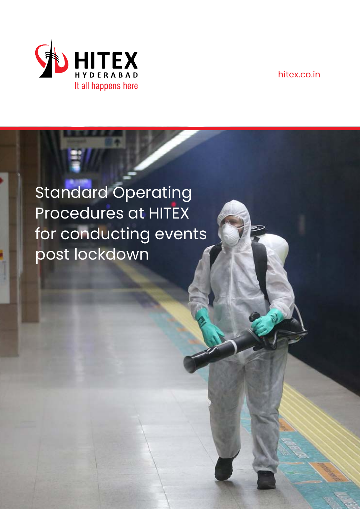

hitex.co.in

# Standard Operating Procedures at HITEX for conducting events post lockdown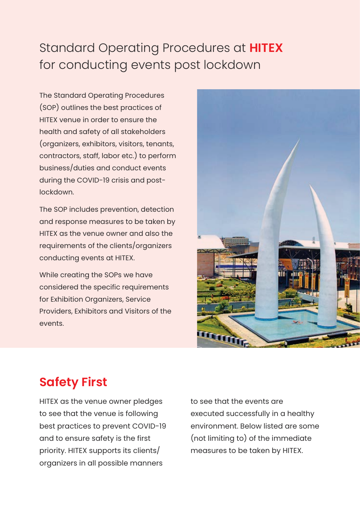### Standard Operating Procedures at **HITEX** for conducting events post lockdown

The Standard Operating Procedures (SOP) outlines the best practices of HITEX venue in order to ensure the health and safety of all stakeholders (organizers, exhibitors, visitors, tenants, contractors, staff, labor etc.) to perform business/duties and conduct events during the COVID-19 crisis and postlockdown.

The SOP includes prevention, detection and response measures to be taken by HITEX as the venue owner and also the requirements of the clients/organizers conducting events at HITEX.

While creating the SOPs we have considered the specific requirements for Exhibition Organizers, Service Providers, Exhibitors and Visitors of the events.



### **Safety First**

HITEX as the venue owner pledges to see that the venue is following best practices to prevent COVID-19 and to ensure safety is the first priority. HITEX supports its clients/ organizers in all possible manners

to see that the events are executed successfully in a healthy environment. Below listed are some (not limiting to) of the immediate measures to be taken by HITEX.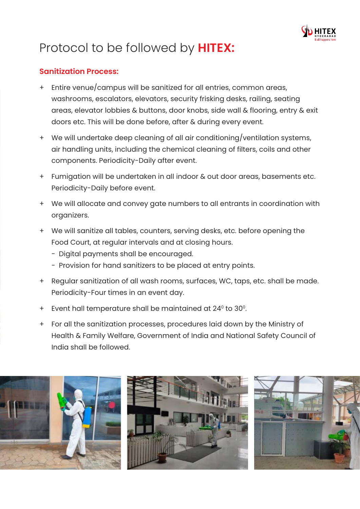

## Protocol to be followed by **HITEX:**

### **Sanitization Process:**

- + Entire venue/campus will be sanitized for all entries, common areas, washrooms, escalators, elevators, security frisking desks, railing, seating areas, elevator lobbies & buttons, door knobs, side wall & flooring, entry & exit doors etc. This will be done before, after & during every event.
- + We will undertake deep cleaning of all air conditioning/ventilation systems, air handling units, including the chemical cleaning of filters, coils and other components. Periodicity-Daily after event.
- + Fumigation will be undertaken in all indoor & out door areas, basements etc. Periodicity-Daily before event.
- + We will allocate and convey gate numbers to all entrants in coordination with organizers.
- + We will sanitize all tables, counters, serving desks, etc. before opening the Food Court, at regular intervals and at closing hours.
	- Digital payments shall be encouraged.
	- Provision for hand sanitizers to be placed at entry points.
- + Regular sanitization of all wash rooms, surfaces, WC, taps, etc. shall be made. Periodicity-Four times in an event day.
- $+$  Event hall temperature shall be maintained at 24 $\degree$  to 30 $\degree$ .
- + For all the sanitization processes, procedures laid down by the Ministry of Health & Family Welfare, Government of India and National Safety Council of India shall be followed.

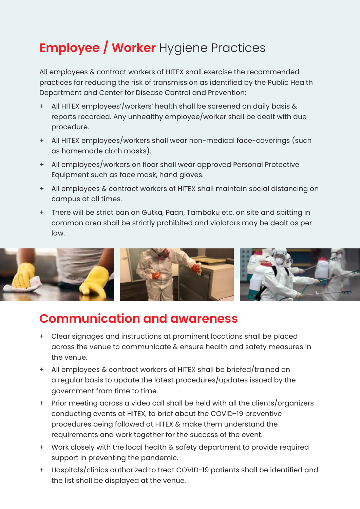## **Employee / Worker** Hygiene Practices

All employees & contract workers of HITEX shall exercise the recommended practices for reducing the risk of transmission as identified by the Public Health Department and Center for Disease Control and Prevention:

- + All HITEX employees'/workers' health shall be screened on daily basis & reports recorded. Any unhealthy employee/worker shall be dealt with due procedure.
- + All HITEX employees/workers shall wear non-medical face-coverings (such as homemade cloth masks).
- + All employees/workers on floor shall wear approved Personal Protective Equipment such as face mask, hand gloves.
- + All employees & contract workers of HITEX shall maintain social distancing on campus at all times.
- + There will be strict ban on Gutka, Paan, Tambaku etc, on site and spitting in common area shall be strictly prohibited and violators may be dealt as per law.



### **Communication and awareness**

- + Clear signages and instructions at prominent locations shall be placed across the venue to communicate & ensure health and safety measures in the venue.
- + All employees & contract workers of HITEX shall be briefed/trained on a regular basis to update the latest procedures/updates issued by the government from time to time.
- + Prior meeting across a video call shall be held with all the clients/organizers conducting events at HITEX, to brief about the COVID-19 preventive procedures being followed at HITEX & make them understand the requirements and work together for the success of the event.
- + Work closely with the local health & safety department to provide required support in preventing the pandemic.
- + Hospitals/clinics authorized to treat COVID-19 patients shall be identified and the list shall be displayed at the venue.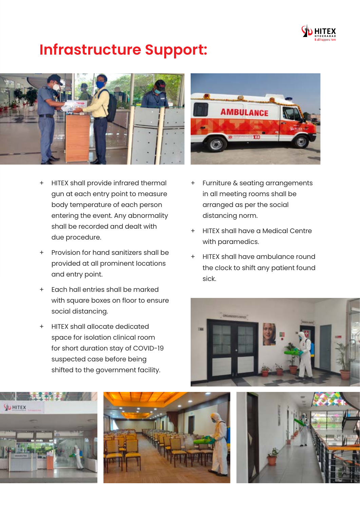

## **Infrastructure Support:**



- + HITEX shall provide infrared thermal gun at each entry point to measure body temperature of each person entering the event. Any abnormality shall be recorded and dealt with due procedure.
- + Provision for hand sanitizers shall be provided at all prominent locations and entry point.
- + Each hall entries shall be marked with square boxes on floor to ensure social distancing.
- + HITEX shall allocate dedicated space for isolation clinical room for short duration stay of COVID-19 suspected case before being shifted to the government facility.

**YU HITEX** 





**AMBULANCE** 

- in all meeting rooms shall be arranged as per the social distancing norm.
- + HITEX shall have a Medical Centre with paramedics.
- + HITEX shall have ambulance round the clock to shift any patient found sick.



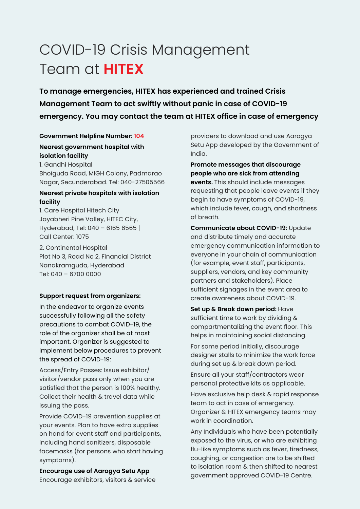## COVID-19 Crisis Management Team at **HITEX**

**To manage emergencies, HITEX has experienced and trained Crisis Management Team to act swiftly without panic in case of COVID-19 emergency. You may contact the team at HITEX office in case of emergency**

### **Government Helpline Number: 104 Nearest government hospital with isolation facility**

1. Gandhi Hospital Bhoiguda Road, MIGH Colony, Padmarao Nagar, Secunderabad. Tel: 040-27505566

#### **Nearest private hospitals with isolation facility**

1. Care Hospital Hitech City Jayabheri Pine Valley, HITEC City, Hyderabad, Tel: 040 – 6165 6565 | Call Center: 1075

2. Continental Hospital Plot No 3, Road No 2, Financial District Nanakramguda, Hyderabad Tel: 040 – 6700 0000

#### **Support request from organizers:**

In the endeavor to organize events successfully following all the safety precautions to combat COVID-19, the role of the organizer shall be at most important. Organizer is suggested to implement below procedures to prevent the spread of COVID-19:

Access/Entry Passes: Issue exhibitor/ visitor/vendor pass only when you are satisfied that the person is 100% healthy. Collect their health & travel data while issuing the pass.

Provide COVID-19 prevention supplies at your events. Plan to have extra supplies on hand for event staff and participants, including hand sanitizers, disposable facemasks (for persons who start having symptoms).

**Encourage use of Aarogya Setu App** Encourage exhibitors, visitors & service providers to download and use Aarogya Setu App developed by the Government of India.

#### **Promote messages that discourage people who are sick from attending**

**events.** This should include messages requesting that people leave events if they begin to have symptoms of COVID-19, which include fever, cough, and shortness of breath.

**Communicate about COVID-19:** Update and distribute timely and accurate emergency communication information to everyone in your chain of communication (for example, event staff, participants, suppliers, vendors, and key community partners and stakeholders). Place sufficient signages in the event area to create awareness about COVID-19.

**Set up & Break down period:** Have sufficient time to work by dividing & compartmentalizing the event floor. This helps in maintaining social distancing.

For some period initially, discourage designer stalls to minimize the work force during set up & break down period.

Ensure all your staff/contractors wear personal protective kits as applicable.

Have exclusive help desk & rapid response team to act in case of emergency. Organizer & HITEX emergency teams may work in coordination.

Any Individuals who have been potentially exposed to the virus, or who are exhibiting flu-like symptoms such as fever, tiredness, coughing, or congestion are to be shifted to isolation room & then shifted to nearest government approved COVID-19 Centre.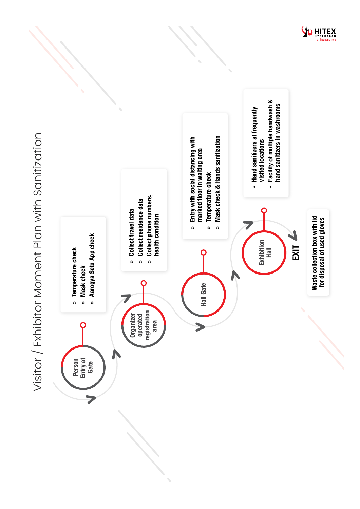